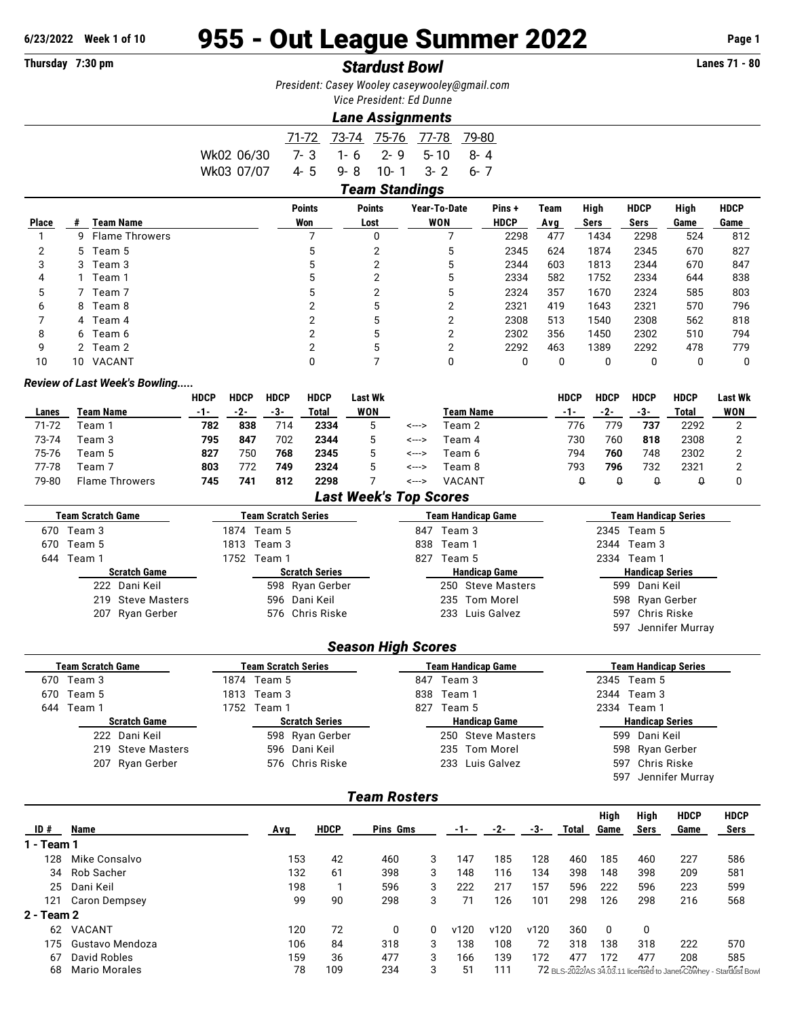# **6/23/2022 Week 1 of 10** 955 - Out League Summer 2022 **Page 1**

## **Thursday 7:30 pm** *Stardust Bowl* **Lanes 71 - 80**

*President: Casey Wooley [caseywooley@gmail.com](mailto:caseywooley@gmail.com) Vice President: Ed Dunne*

*Lane Assignments*

|                                     |                      | 71-72 73-74 75-76 77-78 79-80 |  |
|-------------------------------------|----------------------|-------------------------------|--|
| Wk02 06/30                          | 7-3 1-6 2-9 5-10 8-4 |                               |  |
| Wk0307/07  4-5  9-8  10-1  3-2  6-7 |                      |                               |  |
|                                     |                      | <b>Team Standings</b>         |  |

| <b>Place</b> | #  | <b>Team Name</b>      | <b>Points</b><br>Won | <b>Points</b><br>Lost | Year-To-Date<br><b>WON</b> | Pins+<br><b>HDCP</b> | Team<br>Ava | High<br>Sers | <b>HDCP</b><br>Sers | High<br>Game | <b>HDCP</b><br>Game |  |  |
|--------------|----|-----------------------|----------------------|-----------------------|----------------------------|----------------------|-------------|--------------|---------------------|--------------|---------------------|--|--|
|              |    |                       |                      |                       |                            |                      |             |              |                     |              |                     |  |  |
|              | 9  | <b>Flame Throwers</b> |                      | 0                     |                            | 2298                 | 477         | 1434         | 2298                | 524          | 812                 |  |  |
| っ            |    | 5 Team 5              |                      |                       | 5                          | 2345                 | 624         | 1874         | 2345                | 670          | 827                 |  |  |
| 3            |    | 3 Team 3              |                      |                       | 5                          | 2344                 | 603         | 1813         | 2344                | 670          | 847                 |  |  |
| 4            |    | Team 1                |                      |                       | 5                          | 2334                 | 582         | 1752         | 2334                | 644          | 838                 |  |  |
| 5            |    | $^{\circ}$ Team 7     |                      |                       | 5                          | 2324                 | 357         | 1670         | 2324                | 585          | 803                 |  |  |
| 6            | 8  | Team 8                |                      | 5                     |                            | 2321                 | 419         | 1643         | 2321                | 570          | 796                 |  |  |
|              |    | 4 Team 4              |                      | 5                     | າ                          | 2308                 | 513         | 1540         | 2308                | 562          | 818                 |  |  |
| 8            |    | 6 Team 6              |                      |                       |                            | 2302                 | 356         | 1450         | 2302                | 510          | 794                 |  |  |
| 9            |    | 2 Team 2              |                      | 5                     |                            | 2292                 | 463         | 1389         | 2292                | 478          | 779                 |  |  |
| 10           | 10 | VACANT                |                      |                       |                            |                      | 0           |              |                     |              |                     |  |  |

#### *Review of Last Week's Bowling.....*

|       |                       | <b>HDCP</b> | <b>HDCP</b> | <b>HDCP</b> | <b>HDCP</b> | Last Wk |       |                  | HDCP | HDCP | HDCP | <b>HDCP</b> | <b>Last Wk</b> |
|-------|-----------------------|-------------|-------------|-------------|-------------|---------|-------|------------------|------|------|------|-------------|----------------|
| Lanes | Team Name             | -1-         | -2-         | -3-         | Total       | WON     |       | <b>Team Name</b> | -1-  | -2-  | -3-  | Total       | WON            |
| 71-72 | Геаm ́                | 782         | 838         | 714         | 2334        | ა       | <---> | Геаm 2           | 776  | 779  | 737  | 2292        |                |
| 73-74 | Team 3                | 795         | 847         | 702         | 2344        | 5       | <---> | Team 4           | 730  | 760  | 818  | 2308        |                |
| 75-76 | Геаm 5                | 827         | 750         | 768         | 2345        |         | <---> | Team 6           | 794  | 760  | 748  | 2302        |                |
| 77-78 | Геаm 7                | 803         | 772         | 749         | 2324        | 5       | <---> | Team 8           | 793  | 796  | 732  | 2321        |                |
| 79-80 | <b>Flame Throwers</b> | 745         | 741         | 812         | 2298        |         | <---> | VACANT           |      |      |      |             |                |

### *Last Week's Top Scores*

| <b>Team Scratch Game</b>    | Team Scratch Series   | Team Handicap Game            | <b>Team Handicap Series</b>                         |  |  |  |  |  |  |  |  |  |  |
|-----------------------------|-----------------------|-------------------------------|-----------------------------------------------------|--|--|--|--|--|--|--|--|--|--|
| Team 3<br>670               | 1874 Team 5           | 847<br>Team 3                 | 2345 Team 5                                         |  |  |  |  |  |  |  |  |  |  |
| 670<br>Team 5               | Team 3<br>1813        | 838<br>Team 1                 | 2344<br>Team 3                                      |  |  |  |  |  |  |  |  |  |  |
| 644<br>Team 1               | 1752<br>Team 1        | Team 5<br>827                 | 2334<br>Team 1                                      |  |  |  |  |  |  |  |  |  |  |
| <b>Scratch Game</b>         | <b>Scratch Series</b> | <b>Handicap Game</b>          | <b>Handicap Series</b>                              |  |  |  |  |  |  |  |  |  |  |
| 222 Dani Keil               | 598 Ryan Gerber       | <b>Steve Masters</b><br>250   | Dani Keil<br>599                                    |  |  |  |  |  |  |  |  |  |  |
| 219<br><b>Steve Masters</b> | Dani Keil<br>596      | <b>Tom Morel</b><br>235       | Ryan Gerber<br>598                                  |  |  |  |  |  |  |  |  |  |  |
| Ryan Gerber<br>207          | Chris Riske<br>576    | Luis Galvez<br>233            | Chris Riske<br>597                                  |  |  |  |  |  |  |  |  |  |  |
|                             |                       |                               | Jennifer Murray<br>597                              |  |  |  |  |  |  |  |  |  |  |
| <b>Season High Scores</b>   |                       |                               |                                                     |  |  |  |  |  |  |  |  |  |  |
| <b>Team Scratch Game</b>    | Team Scratch Series   | <b>Team Handicap Game</b>     | <b>Team Handicap Series</b>                         |  |  |  |  |  |  |  |  |  |  |
| Team 3<br>670               | 1874 Team 5           | Team 3<br>847                 | 2345 Team 5                                         |  |  |  |  |  |  |  |  |  |  |
| 670<br>Team 5               | Team 3<br>1813        | Team 1<br>838                 | Team 3<br>2344                                      |  |  |  |  |  |  |  |  |  |  |
| 644<br>Team 1               | Team 1<br>1752        | 827<br>Team 5                 | Team 1<br>2334                                      |  |  |  |  |  |  |  |  |  |  |
| <b>Scratch Game</b>         | <b>Scratch Series</b> | <b>Handicap Game</b>          | <b>Handicap Series</b>                              |  |  |  |  |  |  |  |  |  |  |
| Dani Keil<br>222            | 598 Ryan Gerber       | 250<br><b>Steve Masters</b>   | 599<br>Dani Keil                                    |  |  |  |  |  |  |  |  |  |  |
| <b>Steve Masters</b><br>219 | Dani Keil<br>596      | <b>Tom Morel</b><br>235       | Ryan Gerber<br>598                                  |  |  |  |  |  |  |  |  |  |  |
| Ryan Gerber<br>207          | Chris Riske<br>576    | Luis Galvez<br>233            | Chris Riske<br>597                                  |  |  |  |  |  |  |  |  |  |  |
|                             |                       |                               | Jennifer Murray<br>597                              |  |  |  |  |  |  |  |  |  |  |
|                             |                       | <b>Team Rosters</b>           |                                                     |  |  |  |  |  |  |  |  |  |  |
|                             |                       |                               | High<br><b>HDCP</b><br><b>HDCP</b><br>High          |  |  |  |  |  |  |  |  |  |  |
| ID#<br><b>Name</b>          | <b>HDCP</b><br>Avg    | Pins Gms<br>-2-<br>-3-<br>-1- | Game<br><b>Sers</b><br><b>Sers</b><br>Total<br>Game |  |  |  |  |  |  |  |  |  |  |

| ID #       | Name                 | Avg | HDCP | Pins Gms |   | -1-  | -2-  | -3-  | I otal | Game | sers | Game | Sers                                                             |
|------------|----------------------|-----|------|----------|---|------|------|------|--------|------|------|------|------------------------------------------------------------------|
| 1 - Team 1 |                      |     |      |          |   |      |      |      |        |      |      |      |                                                                  |
| 128        | Mike Consalvo        | 153 | 42   | 460      |   | 147  | 185  | 128  | 460    | 185  | 460  | 227  | 586                                                              |
| 34         | Rob Sacher           | 132 | 61   | 398      | 3 | 148  | 116  | 134  | 398    | 148  | 398  | 209  | 581                                                              |
| 25         | Dani Keil            | 198 |      | 596      |   | 222  | 217  | 157  | 596    | 222  | 596  | 223  | 599                                                              |
| 121        | <b>Caron Dempsey</b> | 99  | 90   | 298      |   |      | 126  | 101  | 298    | 126  | 298  | 216  | 568                                                              |
| 2 - Team 2 |                      |     |      |          |   |      |      |      |        |      |      |      |                                                                  |
| 62         | VACANT               | 120 | 72   | 0        |   | v120 | v120 | v120 | 360    | O    |      |      |                                                                  |
| 175        | Gustavo Mendoza      | 106 | 84   | 318      |   | 138  | 108  | 72   | 318    | 138  | 318  | 222  | 570                                                              |
| 67         | David Robles         | 159 | 36   | 477      |   | 166  | 139  | 172  | 477    | 172  | 477  | 208  | 585                                                              |
| 68         | <b>Mario Morales</b> | 78  | 109  | 234      |   | 51   | 111  |      |        |      |      |      | 72 BLS-2022/AS 34.03.11 licensed to Janet.Cowhey - Stardust Bowl |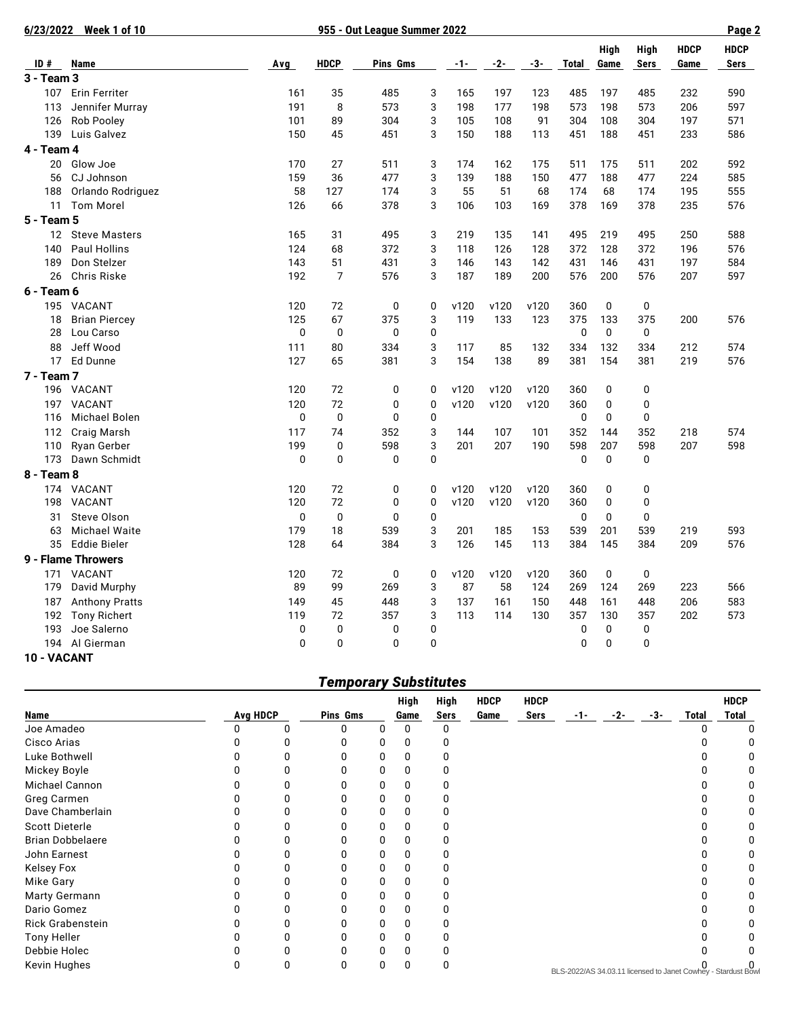|                 | 6/23/2022 Week 1 of 10 |              |                | 955 - Out League Summer 2022 |              |       |      |       | Page 2       |          |              |             |             |
|-----------------|------------------------|--------------|----------------|------------------------------|--------------|-------|------|-------|--------------|----------|--------------|-------------|-------------|
|                 |                        |              |                |                              |              |       |      |       |              | High     | <b>High</b>  | <b>HDCP</b> | <b>HDCP</b> |
| ID#             | <b>Name</b>            | Avg          | <b>HDCP</b>    | Pins Gms                     |              | $-1-$ | -2-  | $-3-$ | Total        | Game     | <b>Sers</b>  | Game        | <b>Sers</b> |
| 3 - Team 3      |                        |              |                |                              |              |       |      |       |              |          |              |             |             |
| 107             | <b>Erin Ferriter</b>   | 161          | 35             | 485                          | 3            | 165   | 197  | 123   | 485          | 197      | 485          | 232         | 590         |
| 113             | Jennifer Murray        | 191          | 8              | 573                          | 3            | 198   | 177  | 198   | 573          | 198      | 573          | 206         | 597         |
| 126             | <b>Rob Pooley</b>      | 101          | 89             | 304                          | 3            | 105   | 108  | 91    | 304          | 108      | 304          | 197         | 571         |
| 139             | Luis Galvez            | 150          | 45             | 451                          | 3            | 150   | 188  | 113   | 451          | 188      | 451          | 233         | 586         |
| 4 - Team 4      |                        |              |                |                              |              |       |      |       |              |          |              |             |             |
| 20              | Glow Joe               | 170          | 27             | 511                          | 3            | 174   | 162  | 175   | 511          | 175      | 511          | 202         | 592         |
| 56              | CJ Johnson             | 159          | 36             | 477                          | 3            | 139   | 188  | 150   | 477          | 188      | 477          | 224         | 585         |
| 188             | Orlando Rodriguez      | 58           | 127            | 174                          | 3            | 55    | 51   | 68    | 174          | 68       | 174          | 195         | 555         |
| 11              | <b>Tom Morel</b>       | 126          | 66             | 378                          | 3            | 106   | 103  | 169   | 378          | 169      | 378          | 235         | 576         |
| 5 - Team 5      |                        |              |                |                              |              |       |      |       |              |          |              |             |             |
|                 | 12 Steve Masters       | 165          | 31             | 495                          | 3            | 219   | 135  | 141   | 495          | 219      | 495          | 250         | 588         |
| 140             | <b>Paul Hollins</b>    | 124          | 68             | 372                          | 3            | 118   | 126  | 128   | 372          | 128      | 372          | 196         | 576         |
| 189             | Don Stelzer            | 143          | 51             | 431                          | 3            | 146   | 143  | 142   | 431          | 146      | 431          | 197         | 584         |
| 26              | Chris Riske            | 192          | $\overline{7}$ | 576                          | 3            | 187   | 189  | 200   | 576          | 200      | 576          | 207         | 597         |
| 6 - Team 6      |                        |              |                |                              |              |       |      |       |              |          |              |             |             |
|                 | 195 VACANT             | 120          | 72             | $\mathbf 0$                  | 0            | v120  | v120 | v120  | 360          | 0        | 0            |             |             |
| 18              | <b>Brian Piercey</b>   | 125          | 67             | 375                          | 3            | 119   | 133  | 123   | 375          | 133      | 375          | 200         | 576         |
| 28              | Lou Carso              | $\mathbf{0}$ | 0              | 0                            | 0            |       |      |       | 0            | 0        | 0            |             |             |
| 88              | Jeff Wood              | 111          | 80             | 334                          | 3            | 117   | 85   | 132   | 334          | 132      | 334          | 212         | 574         |
| 17 <sup>2</sup> | Ed Dunne               | 127          | 65             | 381                          | 3            | 154   | 138  | 89    | 381          | 154      | 381          | 219         | 576         |
| 7 - Team 7      |                        |              |                |                              |              |       |      |       |              |          |              |             |             |
|                 | 196 VACANT             | 120          | 72             | 0                            | 0            | v120  | v120 | v120  | 360          | 0        | 0            |             |             |
| 197             | <b>VACANT</b>          | 120          | 72             | 0                            | $\mathbf 0$  | v120  | v120 | v120  | 360          | 0        | $\mathbf 0$  |             |             |
| 116             | Michael Bolen          | $\mathbf 0$  | 0              | 0                            | 0            |       |      |       | 0            | 0        | 0            |             |             |
| 112             | Craig Marsh            | 117          | 74             | 352                          | 3            | 144   | 107  | 101   | 352          | 144      | 352          | 218         | 574         |
| 110             | Ryan Gerber            | 199          | 0              | 598                          | 3            | 201   | 207  | 190   | 598          | 207      | 598          | 207         | 598         |
| 173             | Dawn Schmidt           | 0            | 0              | $\mathbf 0$                  | 0            |       |      |       | $\mathbf 0$  | 0        | 0            |             |             |
| 8 - Team 8      |                        |              |                |                              |              |       |      |       |              |          |              |             |             |
|                 | 174 VACANT             | 120          | 72             | $\mathbf 0$                  | 0            | v120  | v120 | v120  | 360          | 0        | $\pmb{0}$    |             |             |
| 198             | <b>VACANT</b>          | 120          | 72             | $\mathbf 0$                  | $\mathbf 0$  | v120  | v120 | v120  | 360          | 0        | 0            |             |             |
| 31              | Steve Olson            | $\Omega$     | 0              | $\overline{0}$               | 0            |       |      |       | $\mathbf 0$  | $\Omega$ | $\mathbf 0$  |             |             |
| 63              | <b>Michael Waite</b>   | 179          | 18             | 539                          | 3            | 201   | 185  | 153   | 539          | 201      | 539          | 219         | 593         |
|                 | 35 Eddie Bieler        | 128          | 64             | 384                          | 3            | 126   | 145  | 113   | 384          | 145      | 384          | 209         | 576         |
|                 | 9 - Flame Throwers     |              |                |                              |              |       |      |       |              |          |              |             |             |
| 171             | VACANT                 | 120          | 72             | 0                            | 0            | v120  | v120 | v120  | 360          | 0        | 0            |             |             |
| 179             | David Murphy           | 89           | 99             | 269                          | 3            | 87    | 58   | 124   | 269          | 124      | 269          | 223         | 566         |
| 187             | <b>Anthony Pratts</b>  | 149          | 45             | 448                          | 3            | 137   | 161  | 150   | 448          | 161      | 448          | 206         | 583         |
| 192             | <b>Tony Richert</b>    | 119          | 72             | 357                          | 3            | 113   | 114  | 130   | 357          | 130      | 357          | 202         | 573         |
| 193             | Joe Salerno            | 0            | 0              | 0                            | 0            |       |      |       | 0            | 0        | 0            |             |             |
|                 | 194 Al Gierman         | $\mathbf{0}$ | $\Omega$       | $\overline{0}$               | $\mathbf{0}$ |       |      |       | $\mathbf{0}$ | 0        | $\mathbf{0}$ |             |             |
| 10 - VACANT     |                        |              |                |                              |              |       |      |       |              |          |              |             |             |

## *Temporary Substitutes*

|                         |                 |              |          |    | <b>High</b> | High | <b>HDCP</b> | <b>HDCP</b> |                                                               |       |       |              | <b>HDCP</b> |
|-------------------------|-----------------|--------------|----------|----|-------------|------|-------------|-------------|---------------------------------------------------------------|-------|-------|--------------|-------------|
| <b>Name</b>             | <b>Avg HDCP</b> |              | Pins Gms |    | Game        | Sers | Game        | Sers        | $-1-$                                                         | $-2-$ | $-3-$ | <b>Total</b> | Total       |
| Joe Amadeo              |                 | $\mathbf{0}$ | 0        |    |             |      |             |             |                                                               |       |       |              |             |
| Cisco Arias             |                 |              | 0        |    |             |      |             |             |                                                               |       |       |              |             |
| Luke Bothwell           |                 | 0            | U        |    |             |      |             |             |                                                               |       |       |              |             |
| Mickey Boyle            |                 | 0            | 0        | 0  |             |      |             |             |                                                               |       |       |              |             |
| Michael Cannon          |                 | O            | ი        |    |             |      |             |             |                                                               |       |       |              |             |
| Greg Carmen             |                 |              |          |    |             |      |             |             |                                                               |       |       |              |             |
| Dave Chamberlain        |                 | O            | U        |    |             |      |             |             |                                                               |       |       |              |             |
| <b>Scott Dieterle</b>   |                 | 0            | n        |    |             |      |             |             |                                                               |       |       |              |             |
| <b>Brian Dobbelaere</b> |                 | ŋ            | n        | ი  |             |      |             |             |                                                               |       |       |              |             |
| John Earnest            |                 | n            | U        | 0  |             |      |             |             |                                                               |       |       |              |             |
| <b>Kelsey Fox</b>       |                 |              |          |    |             |      |             |             |                                                               |       |       |              |             |
| <b>Mike Gary</b>        |                 |              |          |    |             |      |             |             |                                                               |       |       |              |             |
| Marty Germann           |                 | O            | ŋ        | O. |             |      |             |             |                                                               |       |       |              |             |
| Dario Gomez             |                 | 0            | ŋ        | 0  |             |      |             |             |                                                               |       |       |              |             |
| <b>Rick Grabenstein</b> |                 | 0            | ŋ        | ი  |             |      |             |             |                                                               |       |       |              |             |
| Tony Heller             |                 | O            | U        | ი  |             |      |             |             |                                                               |       |       |              |             |
| Debbie Holec            |                 | 0            | 0        |    |             |      |             |             |                                                               |       |       |              |             |
| Kevin Hughes            |                 | 0            | 0        |    |             |      |             |             | BLS-2022/AS 34.03.11 licensed to Janet Cowhey - Stardust Bowl |       |       |              |             |